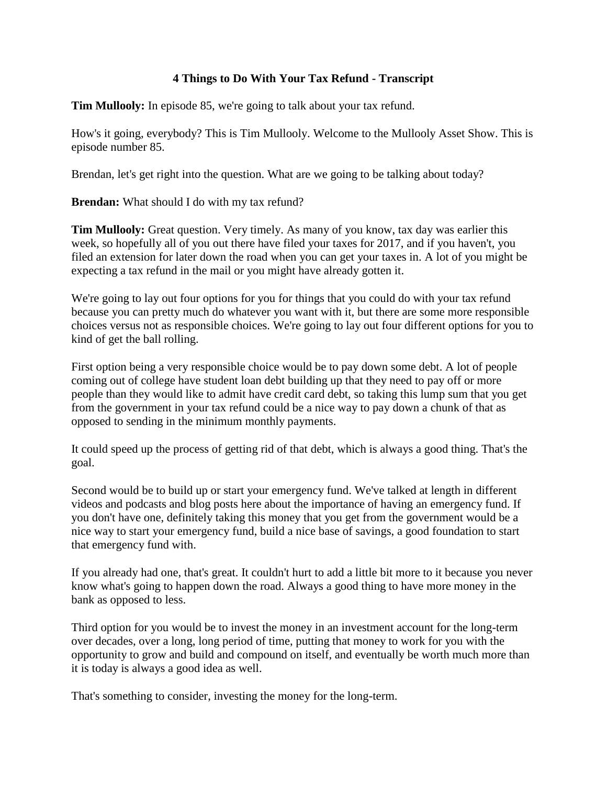## **4 Things to Do With Your Tax Refund - Transcript**

**Tim Mullooly:** In episode 85, we're going to talk about your tax refund.

How's it going, everybody? This is Tim Mullooly. Welcome to the Mullooly Asset Show. This is episode number 85.

Brendan, let's get right into the question. What are we going to be talking about today?

**Brendan:** What should I do with my tax refund?

**Tim Mullooly:** Great question. Very timely. As many of you know, tax day was earlier this week, so hopefully all of you out there have filed your taxes for 2017, and if you haven't, you filed an extension for later down the road when you can get your taxes in. A lot of you might be expecting a tax refund in the mail or you might have already gotten it.

We're going to lay out four options for you for things that you could do with your tax refund because you can pretty much do whatever you want with it, but there are some more responsible choices versus not as responsible choices. We're going to lay out four different options for you to kind of get the ball rolling.

First option being a very responsible choice would be to pay down some debt. A lot of people coming out of college have student loan debt building up that they need to pay off or more people than they would like to admit have credit card debt, so taking this lump sum that you get from the government in your tax refund could be a nice way to pay down a chunk of that as opposed to sending in the minimum monthly payments.

It could speed up the process of getting rid of that debt, which is always a good thing. That's the goal.

Second would be to build up or start your emergency fund. We've talked at length in different videos and podcasts and blog posts here about the importance of having an emergency fund. If you don't have one, definitely taking this money that you get from the government would be a nice way to start your emergency fund, build a nice base of savings, a good foundation to start that emergency fund with.

If you already had one, that's great. It couldn't hurt to add a little bit more to it because you never know what's going to happen down the road. Always a good thing to have more money in the bank as opposed to less.

Third option for you would be to invest the money in an investment account for the long-term over decades, over a long, long period of time, putting that money to work for you with the opportunity to grow and build and compound on itself, and eventually be worth much more than it is today is always a good idea as well.

That's something to consider, investing the money for the long-term.